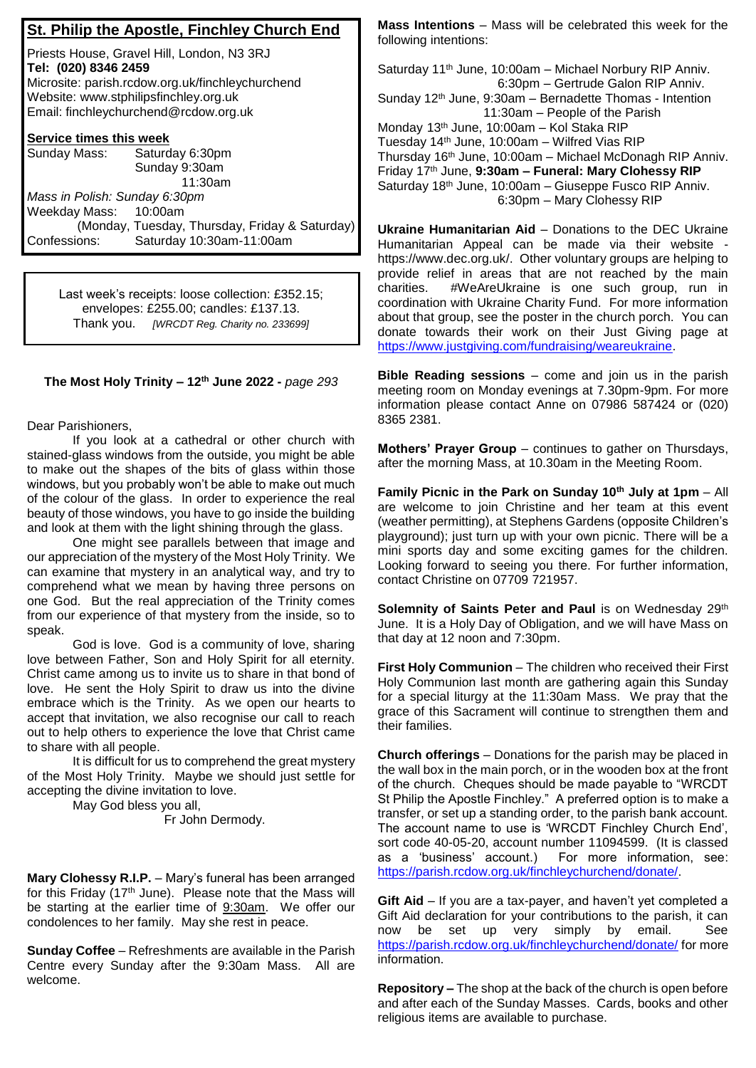|  |  |  |  |  |  | St. Philip the Apostle, Finchley Church End |  |
|--|--|--|--|--|--|---------------------------------------------|--|
|--|--|--|--|--|--|---------------------------------------------|--|

Priests House, Gravel Hill, London, N3 3RJ **Tel: (020) 8346 2459** Microsite: parish.rcdow.org.uk/finchleychurchend Website: www.stphilipsfinchley.org.uk Email: finchleychurchend@rcdow.org.uk

## **Service times this week**

| Sunday Mass:                  | Saturday 6:30pm                                |  |  |  |  |
|-------------------------------|------------------------------------------------|--|--|--|--|
|                               | Sunday 9:30am                                  |  |  |  |  |
|                               | 11:30am                                        |  |  |  |  |
| Mass in Polish: Sunday 6:30pm |                                                |  |  |  |  |
| Weekday Mass: 10:00am         |                                                |  |  |  |  |
|                               | (Monday, Tuesday, Thursday, Friday & Saturday) |  |  |  |  |
| Confessions:                  | Saturday 10:30am-11:00am                       |  |  |  |  |

Last week's receipts: loose collection: £352.15; envelopes: £255.00; candles: £137.13. Thank you. *[WRCDT Reg. Charity no. 233699]*

## **The Most Holy Trinity – 12th June 2022 -** *page 293*

Dear Parishioners,

If you look at a cathedral or other church with stained-glass windows from the outside, you might be able to make out the shapes of the bits of glass within those windows, but you probably won't be able to make out much of the colour of the glass. In order to experience the real beauty of those windows, you have to go inside the building and look at them with the light shining through the glass.

One might see parallels between that image and our appreciation of the mystery of the Most Holy Trinity. We can examine that mystery in an analytical way, and try to comprehend what we mean by having three persons on one God. But the real appreciation of the Trinity comes from our experience of that mystery from the inside, so to speak.

God is love. God is a community of love, sharing love between Father, Son and Holy Spirit for all eternity. Christ came among us to invite us to share in that bond of love. He sent the Holy Spirit to draw us into the divine embrace which is the Trinity. As we open our hearts to accept that invitation, we also recognise our call to reach out to help others to experience the love that Christ came to share with all people.

It is difficult for us to comprehend the great mystery of the Most Holy Trinity. Maybe we should just settle for accepting the divine invitation to love.

May God bless you all,

Fr John Dermody.

**Mary Clohessy R.I.P.** – Mary's funeral has been arranged for this Friday (17<sup>th</sup> June). Please note that the Mass will be starting at the earlier time of 9:30am. We offer our condolences to her family. May she rest in peace.

**Sunday Coffee** – Refreshments are available in the Parish Centre every Sunday after the 9:30am Mass. All are welcome.

**Mass Intentions** – Mass will be celebrated this week for the following intentions:

Saturday 11th June, 10:00am – Michael Norbury RIP Anniv. 6:30pm – Gertrude Galon RIP Anniv. Sunday 12th June, 9:30am – Bernadette Thomas - Intention 11:30am – People of the Parish Monday 13th June, 10:00am – Kol Staka RIP Tuesday 14th June, 10:00am – Wilfred Vias RIP Thursday 16th June, 10:00am – Michael McDonagh RIP Anniv. Friday 17 th June, **9:30am – Funeral: Mary Clohessy RIP** Saturday 18<sup>th</sup> June, 10:00am - Giuseppe Fusco RIP Anniv. 6:30pm – Mary Clohessy RIP

**Ukraine Humanitarian Aid** – Donations to the DEC Ukraine Humanitarian Appeal can be made via their website https://www.dec.org.uk/. Other voluntary groups are helping to provide relief in areas that are not reached by the main charities. #WeAreUkraine is one such group, run in coordination with Ukraine Charity Fund. For more information about that group, see the poster in the church porch. You can donate towards their work on their Just Giving page at https://www.justgiving.com/fundraising/weareukraine.

**Bible Reading sessions** – come and join us in the parish meeting room on Monday evenings at 7.30pm-9pm. For more information please contact Anne on 07986 587424 or (020) 8365 2381.

**Mothers' Prayer Group** – continues to gather on Thursdays, after the morning Mass, at 10.30am in the Meeting Room.

**Family Picnic in the Park on Sunday 10th July at 1pm** – All are welcome to join Christine and her team at this event (weather permitting), at Stephens Gardens (opposite Children's playground); just turn up with your own picnic. There will be a mini sports day and some exciting games for the children. Looking forward to seeing you there. For further information, contact Christine on 07709 721957.

**Solemnity of Saints Peter and Paul** is on Wednesday 29th June. It is a Holy Day of Obligation, and we will have Mass on that day at 12 noon and 7:30pm.

**First Holy Communion** – The children who received their First Holy Communion last month are gathering again this Sunday for a special liturgy at the 11:30am Mass. We pray that the grace of this Sacrament will continue to strengthen them and their families.

**Church offerings** – Donations for the parish may be placed in the wall box in the main porch, or in the wooden box at the front of the church. Cheques should be made payable to "WRCDT St Philip the Apostle Finchley." A preferred option is to make a transfer, or set up a standing order, to the parish bank account. The account name to use is 'WRCDT Finchley Church End', sort code 40-05-20, account number 11094599. (It is classed as a 'business' account.) For more information, see: https://parish.rcdow.org.uk/finchleychurchend/donate/.

**Gift Aid** – If you are a tax-payer, and haven't yet completed a Gift Aid declaration for your contributions to the parish, it can now be set up very simply by email. See https://parish.rcdow.org.uk/finchleychurchend/donate/ for more information.

**Repository –** The shop at the back of the church is open before and after each of the Sunday Masses. Cards, books and other religious items are available to purchase.